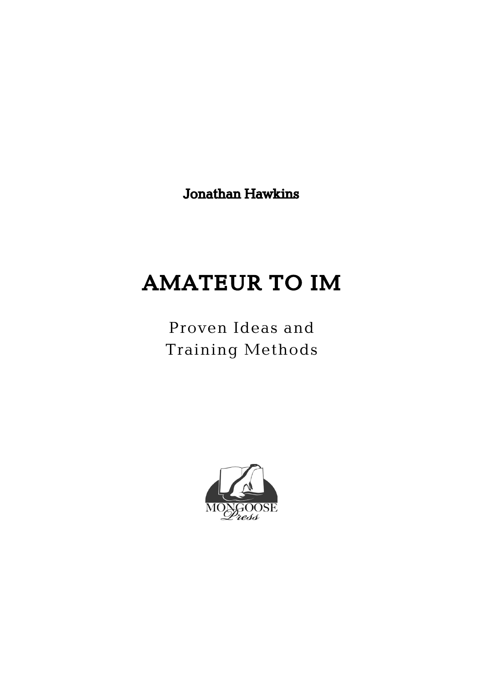Jonathan Hawkins

# **AMATEUR TO IM**

Proven Ideas and Training Methods

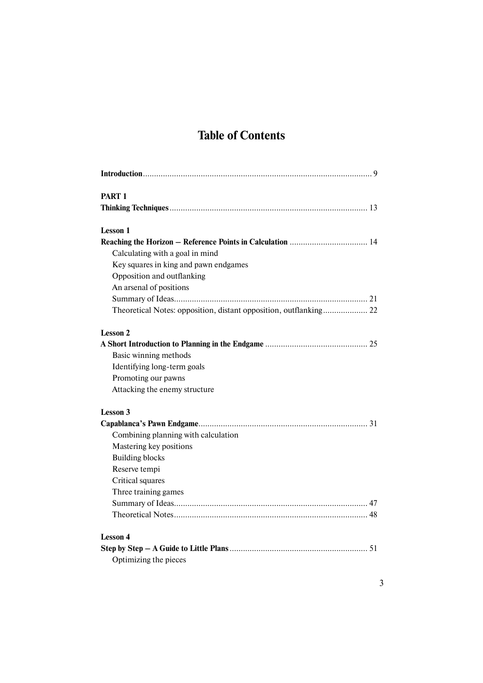### **Table of Contents**

| PART <sub>1</sub>                                                 |
|-------------------------------------------------------------------|
|                                                                   |
|                                                                   |
| Lesson 1                                                          |
|                                                                   |
| Calculating with a goal in mind                                   |
| Key squares in king and pawn endgames                             |
| Opposition and outflanking                                        |
| An arsenal of positions                                           |
|                                                                   |
| Theoretical Notes: opposition, distant opposition, outflanking 22 |
| <b>Lesson 2</b>                                                   |
|                                                                   |
| Basic winning methods                                             |
| Identifying long-term goals                                       |
| Promoting our pawns                                               |
| Attacking the enemy structure                                     |
| <b>Lesson 3</b>                                                   |
|                                                                   |
| Combining planning with calculation                               |
| Mastering key positions                                           |
| <b>Building blocks</b>                                            |
| Reserve tempi                                                     |
| Critical squares                                                  |
| Three training games                                              |
|                                                                   |
|                                                                   |
| <b>Lesson 4</b>                                                   |
|                                                                   |
| Optimizing the pieces                                             |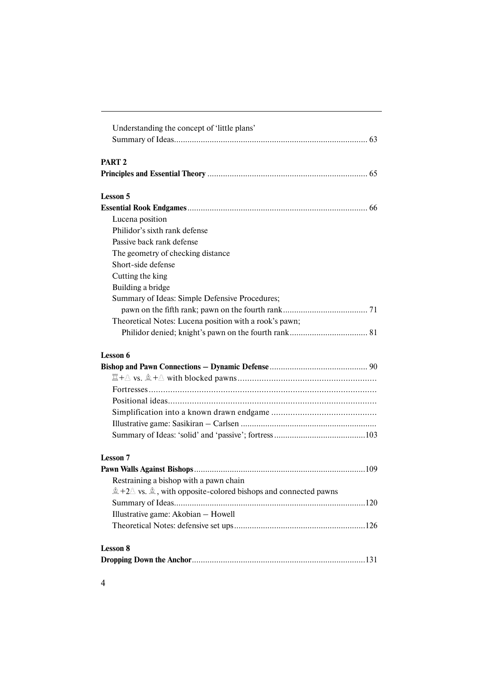| Understanding the concept of 'little plans'                                                                         |
|---------------------------------------------------------------------------------------------------------------------|
| PART <sub>2</sub>                                                                                                   |
| <b>Lesson 5</b>                                                                                                     |
|                                                                                                                     |
| Lucena position                                                                                                     |
| Philidor's sixth rank defense                                                                                       |
| Passive back rank defense                                                                                           |
| The geometry of checking distance                                                                                   |
| Short-side defense                                                                                                  |
| Cutting the king                                                                                                    |
| Building a bridge                                                                                                   |
| Summary of Ideas: Simple Defensive Procedures;                                                                      |
|                                                                                                                     |
| Theoretical Notes: Lucena position with a rook's pawn;                                                              |
|                                                                                                                     |
| Lesson 6                                                                                                            |
|                                                                                                                     |
|                                                                                                                     |
|                                                                                                                     |
|                                                                                                                     |
|                                                                                                                     |
|                                                                                                                     |
|                                                                                                                     |
| <b>Lesson 7</b>                                                                                                     |
|                                                                                                                     |
| Restraining a bishop with a pawn chain                                                                              |
| $\hat{\mathbb{R}}$ +2 $\hat{\mathbb{R}}$ vs. $\hat{\mathbb{R}}$ , with opposite-colored bishops and connected pawns |
|                                                                                                                     |
| Illustrative game: Akobian - Howell                                                                                 |
|                                                                                                                     |
| <b>Lesson 8</b>                                                                                                     |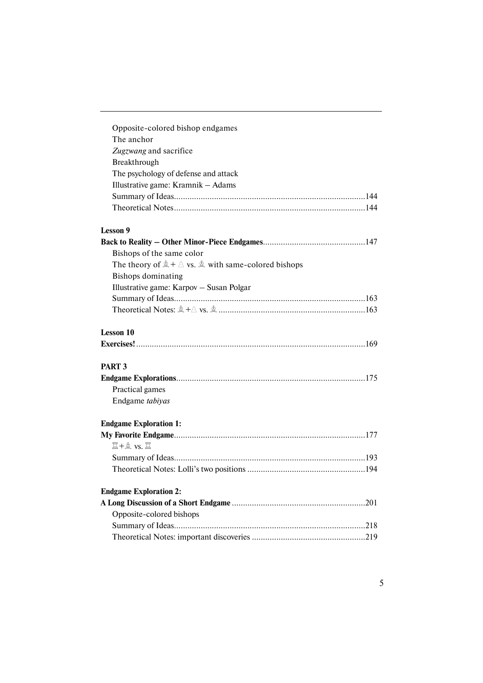| Opposite-colored bishop endgames                                                                     |  |
|------------------------------------------------------------------------------------------------------|--|
| The anchor                                                                                           |  |
| Zugzwang and sacrifice                                                                               |  |
| Breakthrough                                                                                         |  |
| The psychology of defense and attack                                                                 |  |
| Illustrative game: Kramnik – Adams                                                                   |  |
|                                                                                                      |  |
|                                                                                                      |  |
| Lesson 9                                                                                             |  |
|                                                                                                      |  |
| Bishops of the same color                                                                            |  |
| The theory of $\hat{\mathbb{Z}} + \hat{\mathbb{Z}}$ vs. $\hat{\mathbb{Z}}$ with same-colored bishops |  |
| <b>Bishops dominating</b>                                                                            |  |
| Illustrative game: Karpov - Susan Polgar                                                             |  |
|                                                                                                      |  |
|                                                                                                      |  |
| <b>Lesson 10</b>                                                                                     |  |
|                                                                                                      |  |
| PART <sub>3</sub>                                                                                    |  |
|                                                                                                      |  |
| Practical games                                                                                      |  |
| Endgame tabiyas                                                                                      |  |
| <b>Endgame Exploration 1:</b>                                                                        |  |
|                                                                                                      |  |
| $E + \triangle$ <sub>vs.</sub> $E$                                                                   |  |
|                                                                                                      |  |
|                                                                                                      |  |
| <b>Endgame Exploration 2:</b>                                                                        |  |
|                                                                                                      |  |
| Opposite-colored bishops                                                                             |  |
|                                                                                                      |  |
|                                                                                                      |  |
|                                                                                                      |  |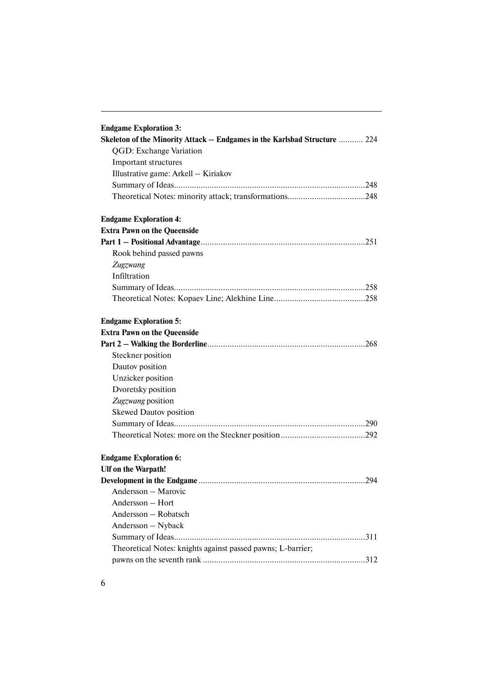| <b>Endgame Exploration 3:</b>                                             |  |
|---------------------------------------------------------------------------|--|
| Skeleton of the Minority Attack – Endgames in the Karlsbad Structure  224 |  |
| <b>QGD: Exchange Variation</b>                                            |  |
| Important structures                                                      |  |
| Illustrative game: Arkell - Kiriakov                                      |  |
|                                                                           |  |
|                                                                           |  |
| <b>Endgame Exploration 4:</b>                                             |  |
| <b>Extra Pawn on the Queenside</b>                                        |  |
|                                                                           |  |
| Rook behind passed pawns                                                  |  |
| Zugzwang                                                                  |  |
| Infiltration                                                              |  |
|                                                                           |  |
|                                                                           |  |
| <b>Endgame Exploration 5:</b>                                             |  |
| <b>Extra Pawn on the Queenside</b>                                        |  |
|                                                                           |  |
| Steckner position                                                         |  |
| Dautov position                                                           |  |
| Unzicker position                                                         |  |
| Dvoretsky position                                                        |  |
| Zugzwang position                                                         |  |
| <b>Skewed Dautov position</b>                                             |  |
|                                                                           |  |
|                                                                           |  |
| <b>Endgame Exploration 6:</b>                                             |  |
| Ulf on the Warpath!                                                       |  |
|                                                                           |  |
| Andersson – Marovic                                                       |  |
| Andersson – Hort                                                          |  |
| Andersson - Robatsch                                                      |  |
| Andersson - Nyback                                                        |  |
|                                                                           |  |
| Theoretical Notes: knights against passed pawns; L-barrier;               |  |
|                                                                           |  |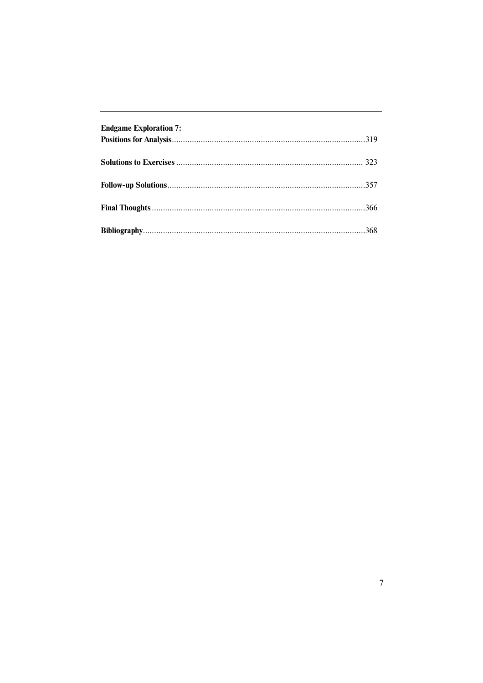| <b>Endgame Exploration 7:</b> |  |
|-------------------------------|--|
|                               |  |
|                               |  |
|                               |  |
|                               |  |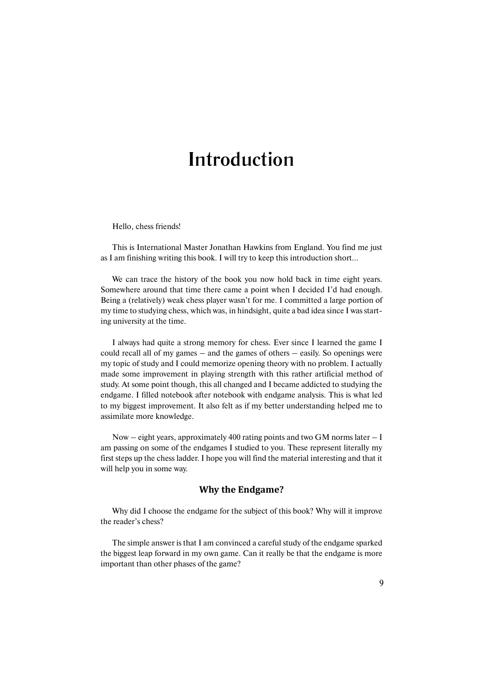## **Introduction**

Hello, chess friends!

This is International Master Jonathan Hawkins from England. You find me just as I am finishing writing this book. I will try to keep this introduction short…

We can trace the history of the book you now hold back in time eight years. Somewhere around that time there came a point when I decided I'd had enough. Being a (relatively) weak chess player wasn't for me. I committed a large portion of my time to studying chess, which was, in hindsight, quite a bad idea since I was starting university at the time.

I always had quite a strong memory for chess. Ever since I learned the game I could recall all of my games – and the games of others – easily. So openings were my topic of study and I could memorize opening theory with no problem. I actually made some improvement in playing strength with this rather artificial method of study. At some point though, this all changed and I became addicted to studying the endgame. I filled notebook after notebook with endgame analysis. This is what led to my biggest improvement. It also felt as if my better understanding helped me to assimilate more knowledge.

Now – eight years, approximately 400 rating points and two GM norms later  $-1$ am passing on some of the endgames I studied to you. These represent literally my first steps up the chess ladder. I hope you will find the material interesting and that it will help you in some way.

### **Why the Endgame?**

Why did I choose the endgame for the subject of this book? Why will it improve the reader's chess?

The simple answer is that I am convinced a careful study of the endgame sparked the biggest leap forward in my own game. Can it really be that the endgame is more important than other phases of the game?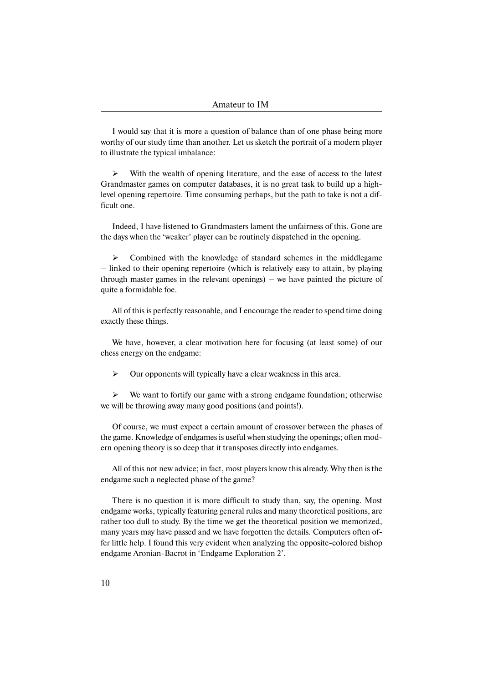I would say that it is more a question of balance than of one phase being more worthy of our study time than another. Let us sketch the portrait of a modern player to illustrate the typical imbalance:

 $\triangleright$  With the wealth of opening literature, and the ease of access to the latest Grandmaster games on computer databases, it is no great task to build up a highlevel opening repertoire. Time consuming perhaps, but the path to take is not a difficult one.

Indeed, I have listened to Grandmasters lament the unfairness of this. Gone are the days when the 'weaker' player can be routinely dispatched in the opening.

 $\triangleright$  Combined with the knowledge of standard schemes in the middlegame – linked to their opening repertoire (which is relatively easy to attain, by playing through master games in the relevant openings) – we have painted the picture of quite a formidable foe.

All of this is perfectly reasonable, and I encourage the reader to spend time doing exactly these things.

We have, however, a clear motivation here for focusing (at least some) of our chess energy on the endgame:

 $\triangleright$  Our opponents will typically have a clear weakness in this area.

 $\triangleright$  We want to fortify our game with a strong endgame foundation; otherwise we will be throwing away many good positions (and points!).

Of course, we must expect a certain amount of crossover between the phases of the game. Knowledge of endgames is useful when studying the openings; often modern opening theory is so deep that it transposes directly into endgames.

All of this not new advice; in fact, most players know this already. Why then is the endgame such a neglected phase of the game?

There is no question it is more difficult to study than, say, the opening. Most endgame works, typically featuring general rules and many theoretical positions, are rather too dull to study. By the time we get the theoretical position we memorized, many years may have passed and we have forgotten the details. Computers often offer little help. I found this very evident when analyzing the opposite-colored bishop endgame Aronian-Bacrot in 'Endgame Exploration 2'.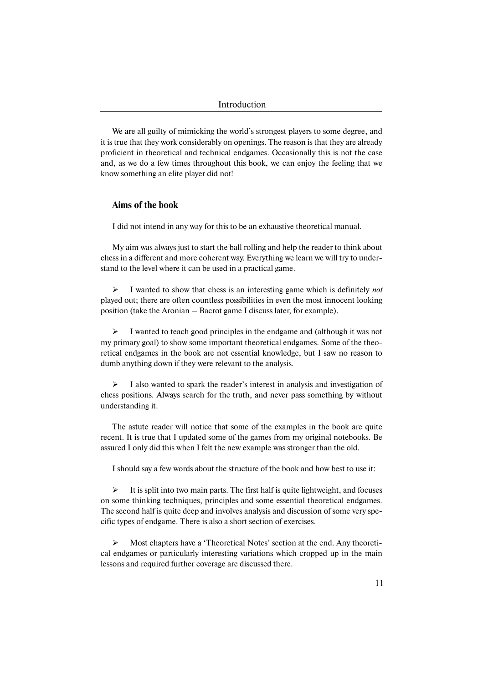We are all guilty of mimicking the world's strongest players to some degree, and it is true that they work considerably on openings. The reason is that they are already proficient in theoretical and technical endgames. Occasionally this is not the case and, as we do a few times throughout this book, we can enjoy the feeling that we know something an elite player did not!

### **Aims of the book**

I did not intend in any way for this to be an exhaustive theoretical manual.

My aim was always just to start the ball rolling and help the reader to think about chess in a different and more coherent way. Everything we learn we will try to understand to the level where it can be used in a practical game.

¾ I wanted to show that chess is an interesting game which is definitely *not* played out; there are often countless possibilities in even the most innocent looking position (take the Aronian – Bacrot game I discuss later, for example).

¾ I wanted to teach good principles in the endgame and (although it was not my primary goal) to show some important theoretical endgames. Some of the theoretical endgames in the book are not essential knowledge, but I saw no reason to dumb anything down if they were relevant to the analysis.

 $\triangleright$  I also wanted to spark the reader's interest in analysis and investigation of chess positions. Always search for the truth, and never pass something by without understanding it.

The astute reader will notice that some of the examples in the book are quite recent. It is true that I updated some of the games from my original notebooks. Be assured I only did this when I felt the new example was stronger than the old.

I should say a few words about the structure of the book and how best to use it:

 $\triangleright$  It is split into two main parts. The first half is quite lightweight, and focuses on some thinking techniques, principles and some essential theoretical endgames. The second half is quite deep and involves analysis and discussion of some very specific types of endgame. There is also a short section of exercises.

¾ Most chapters have a 'Theoretical Notes' section at the end. Any theoretical endgames or particularly interesting variations which cropped up in the main lessons and required further coverage are discussed there.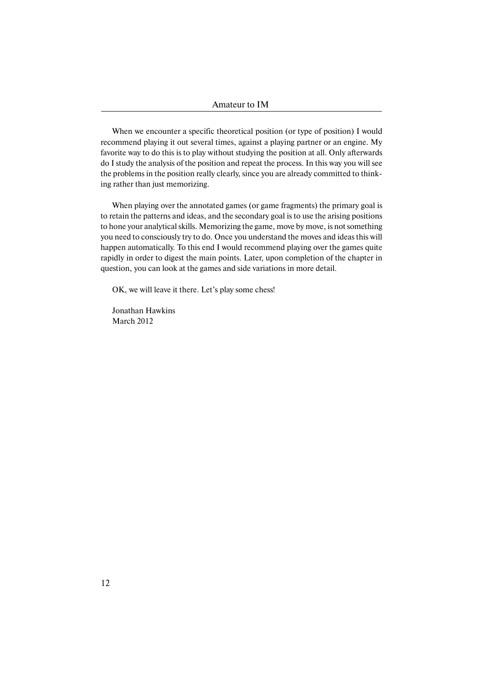When we encounter a specific theoretical position (or type of position) I would recommend playing it out several times, against a playing partner or an engine. My favorite way to do this is to play without studying the position at all. Only afterwards do I study the analysis of the position and repeat the process. In this way you will see the problems in the position really clearly, since you are already committed to thinking rather than just memorizing.

When playing over the annotated games (or game fragments) the primary goal is to retain the patterns and ideas, and the secondary goal is to use the arising positions to hone your analytical skills. Memorizing the game, move by move, is not something you need to consciously try to do. Once you understand the moves and ideas this will happen automatically. To this end I would recommend playing over the games quite rapidly in order to digest the main points. Later, upon completion of the chapter in question, you can look at the games and side variations in more detail.

OK, we will leave it there. Let's play some chess!

Jonathan Hawkins March 2012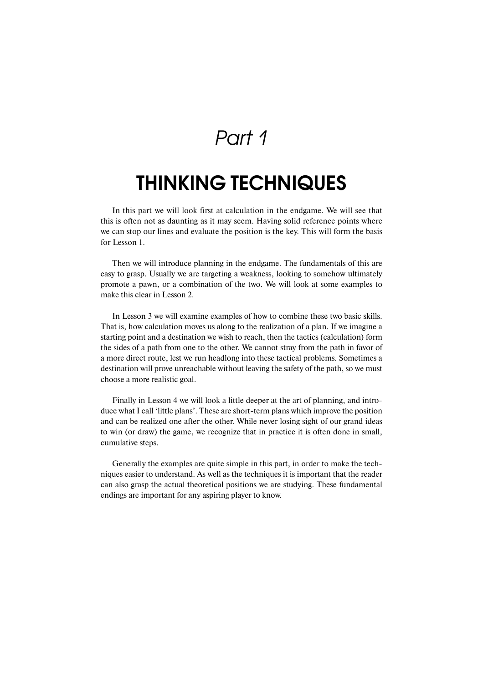## Part 1

# **THINKING TECHNIQUES**

In this part we will look first at calculation in the endgame. We will see that this is often not as daunting as it may seem. Having solid reference points where we can stop our lines and evaluate the position is the key. This will form the basis for Lesson 1.

Then we will introduce planning in the endgame. The fundamentals of this are easy to grasp. Usually we are targeting a weakness, looking to somehow ultimately promote a pawn, or a combination of the two. We will look at some examples to make this clear in Lesson 2.

In Lesson 3 we will examine examples of how to combine these two basic skills. That is, how calculation moves us along to the realization of a plan. If we imagine a starting point and a destination we wish to reach, then the tactics (calculation) form the sides of a path from one to the other. We cannot stray from the path in favor of a more direct route, lest we run headlong into these tactical problems. Sometimes a destination will prove unreachable without leaving the safety of the path, so we must choose a more realistic goal.

Finally in Lesson 4 we will look a little deeper at the art of planning, and introduce what I call 'little plans'. These are short-term plans which improve the position and can be realized one after the other. While never losing sight of our grand ideas to win (or draw) the game, we recognize that in practice it is often done in small, cumulative steps.

Generally the examples are quite simple in this part, in order to make the techniques easier to understand. As well as the techniques it is important that the reader can also grasp the actual theoretical positions we are studying. These fundamental endings are important for any aspiring player to know.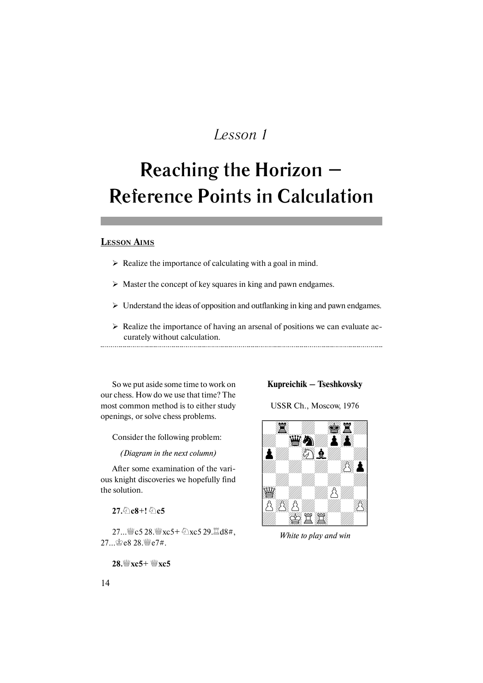### *Lesson 1*

# **Reaching the Horizon – Reference Points in Calculation**

### **LESSON AIMS**

- $\triangleright$  Realize the importance of calculating with a goal in mind.
- $\triangleright$  Master the concept of key squares in king and pawn endgames.
- $\triangleright$  Understand the ideas of opposition and outflanking in king and pawn endgames.
- $\triangleright$  Realize the importance of having an arsenal of positions we can evaluate accurately without calculation.

So we put aside some time to work on our chess. How do we use that time? The most common method is to either study openings, or solve chess problems.

Consider the following problem:

*(Diagram in the next column)*

After some examination of the various knight discoveries we hopefully find the solution.

**27.** $\circ$ **c8**+**!**  $\circ$ **c5** 

27... 響c5 28. 響xc5+ 公xc5 29.  $\Xi$ d8#, 27…當e8 28. @e7#.

**28.**I**xc5**+ I**xc5** 

### **Kupreichik – Tseshkovsky**

USSR Ch., Moscow, 1976



14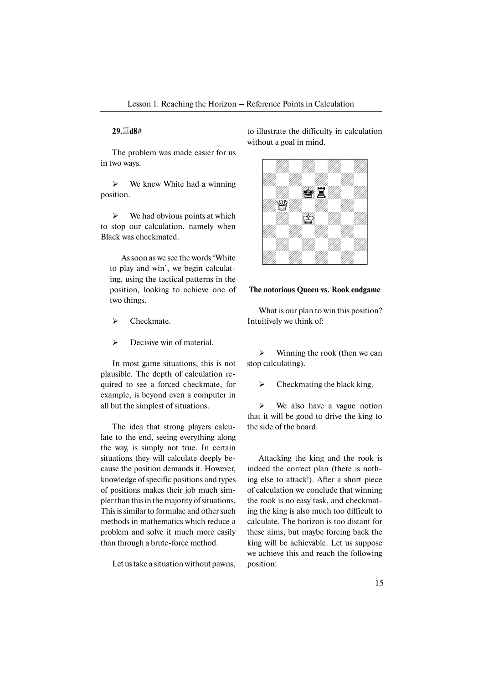### **29.**G**d8#**

The problem was made easier for us in two ways.

 $\triangleright$  We knew White had a winning position.

 $\triangleright$  We had obvious points at which to stop our calculation, namely when Black was checkmated.

As soon as we see the words 'White to play and win', we begin calculating, using the tactical patterns in the position, looking to achieve one of two things.

- $\triangleright$  Checkmate.
- $\triangleright$  Decisive win of material.

In most game situations, this is not plausible. The depth of calculation required to see a forced checkmate, for example, is beyond even a computer in all but the simplest of situations.

The idea that strong players calculate to the end, seeing everything along the way, is simply not true. In certain situations they will calculate deeply because the position demands it. However, knowledge of specific positions and types of positions makes their job much simpler than this in the majority of situations. This is similar to formulae and other such methods in mathematics which reduce a problem and solve it much more easily than through a brute-force method.

Let us take a situation without pawns,

to illustrate the difficulty in calculation without a goal in mind.



#### **The notorious Queen vs. Rook endgame**

What is our plan to win this position? Intuitively we think of:

 $\triangleright$  Winning the rook (then we can stop calculating).

 $\triangleright$  Checkmating the black king.

 $\triangleright$  We also have a vague notion that it will be good to drive the king to the side of the board.

Attacking the king and the rook is indeed the correct plan (there is nothing else to attack!). After a short piece of calculation we conclude that winning the rook is no easy task, and checkmating the king is also much too difficult to calculate. The horizon is too distant for these aims, but maybe forcing back the king will be achievable. Let us suppose we achieve this and reach the following position: